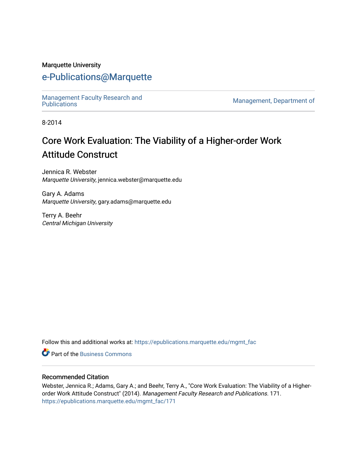#### Marquette University

## [e-Publications@Marquette](https://epublications.marquette.edu/)

Management Faculty Research and<br>Publications

Management, Department of

8-2014

# Core Work Evaluation: The Viability of a Higher-order Work Attitude Construct

Jennica R. Webster Marquette University, jennica.webster@marquette.edu

Gary A. Adams Marquette University, gary.adams@marquette.edu

Terry A. Beehr Central Michigan University

Follow this and additional works at: [https://epublications.marquette.edu/mgmt\\_fac](https://epublications.marquette.edu/mgmt_fac?utm_source=epublications.marquette.edu%2Fmgmt_fac%2F171&utm_medium=PDF&utm_campaign=PDFCoverPages) 

**C** Part of the [Business Commons](http://network.bepress.com/hgg/discipline/622?utm_source=epublications.marquette.edu%2Fmgmt_fac%2F171&utm_medium=PDF&utm_campaign=PDFCoverPages)

#### Recommended Citation

Webster, Jennica R.; Adams, Gary A.; and Beehr, Terry A., "Core Work Evaluation: The Viability of a Higherorder Work Attitude Construct" (2014). Management Faculty Research and Publications. 171. [https://epublications.marquette.edu/mgmt\\_fac/171](https://epublications.marquette.edu/mgmt_fac/171?utm_source=epublications.marquette.edu%2Fmgmt_fac%2F171&utm_medium=PDF&utm_campaign=PDFCoverPages)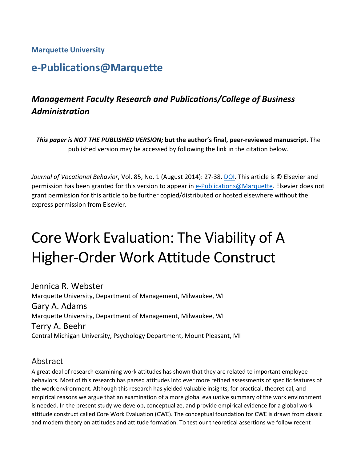#### **Marquette University**

# **e-Publications@Marquette**

# *Management Faculty Research and Publications/College of Business Administration*

*This paper is NOT THE PUBLISHED VERSION;* **but the author's final, peer-reviewed manuscript.** The published version may be accessed by following the link in the citation below.

Journal of Vocational Behavior, Vol. 85, No. 1 (August 2014): 27-38. **DOI**. This article is © Elsevier and permission has been granted for this version to appear in [e-Publications@Marquette.](http://epublications.marquette.edu/) Elsevier does not grant permission for this article to be further copied/distributed or hosted elsewhere without the express permission from Elsevier.

# Core Work Evaluation: The Viability of A Higher-Order Work Attitude Construct

Jennica R. Webster Marquette University, Department of Management, Milwaukee, WI Gary A. Adams Marquette University, Department of Management, Milwaukee, WI Terry A. Beehr Central Michigan University, Psychology Department, Mount Pleasant, MI

#### Abstract

A great deal of research examining work attitudes has shown that they are related to important employee behaviors. Most of this research has parsed attitudes into ever more refined assessments of specific features of the work environment. Although this research has yielded valuable insights, for practical, theoretical, and empirical reasons we argue that an examination of a more global evaluative summary of the work environment is needed. In the present study we develop, conceptualize, and provide empirical evidence for a global work attitude construct called Core Work Evaluation (CWE). The conceptual foundation for CWE is drawn from classic and modern theory on attitudes and attitude formation. To test our theoretical assertions we follow recent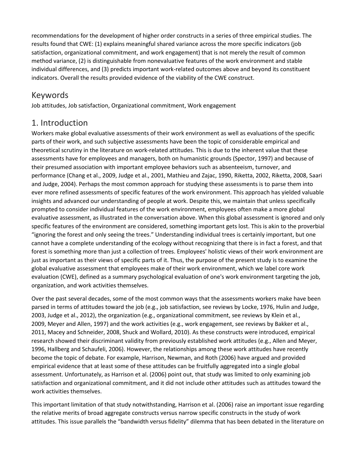recommendations for the development of higher order constructs in a series of three empirical studies. The results found that CWE: (1) explains meaningful shared variance across the more specific indicators (job satisfaction, organizational commitment, and work engagement) that is not merely the result of common method variance, (2) is distinguishable from nonevaluative features of the work environment and stable individual differences, and (3) predicts important work-related outcomes above and beyond its constituent indicators. Overall the results provided evidence of the viability of the CWE construct.

## Keywords

Job attitudes, Job satisfaction, Organizational commitment, Work engagement

### 1. Introduction

Workers make global evaluative assessments of their work environment as well as evaluations of the specific parts of their work, and such subjective assessments have been the topic of considerable empirical and theoretical scrutiny in the literature on work-related attitudes. This is due to the inherent value that these assessments have for employees and managers, both on humanistic grounds (Spector, 1997) and because of their presumed association with important employee behaviors such as absenteeism, turnover, and performance (Chang et al., 2009, Judge et al., 2001, Mathieu and Zajac, 1990, Riketta, 2002, Riketta, 2008, Saari and Judge, 2004). Perhaps the most common approach for studying these assessments is to parse them into ever more refined assessments of specific features of the work environment. This approach has yielded valuable insights and advanced our understanding of people at work. Despite this, we maintain that unless specifically prompted to consider individual features of the work environment, employees often make a more global evaluative assessment, as illustrated in the conversation above. When this global assessment is ignored and only specific features of the environment are considered, something important gets lost. This is akin to the proverbial "ignoring the forest and only seeing the trees." Understanding individual trees is certainly important, but one cannot have a complete understanding of the ecology without recognizing that there is in fact a forest, and that forest is something more than just a collection of trees. Employees' holistic views of their work environment are just as important as their views of specific parts of it. Thus, the purpose of the present study is to examine the global evaluative assessment that employees make of their work environment, which we label core work evaluation (CWE), defined as a summary psychological evaluation of one's work environment targeting the job, organization, and work activities themselves.

Over the past several decades, some of the most common ways that the assessments workers make have been parsed in terms of attitudes toward the job (e.g., job satisfaction, see reviews by Locke, 1976, Hulin and Judge, 2003, Judge et al., 2012), the organization (e.g., organizational commitment, see reviews by Klein et al., 2009, Meyer and Allen, 1997) and the work activities (e.g., work engagement, see reviews by Bakker et al., 2011, Macey and Schneider, 2008, Shuck and Wollard, 2010). As these constructs were introduced, empirical research showed their discriminant validity from previously established work attitudes (e.g., Allen and Meyer, 1996, Hallberg and Schaufeli, 2006). However, the relationships among these work attitudes have recently become the topic of debate. For example, Harrison, Newman, and Roth (2006) have argued and provided empirical evidence that at least some of these attitudes can be fruitfully aggregated into a single global assessment. Unfortunately, as Harrison et al. (2006) point out, that study was limited to only examining job satisfaction and organizational commitment, and it did not include other attitudes such as attitudes toward the work activities themselves.

This important limitation of that study notwithstanding, Harrison et al. (2006) raise an important issue regarding the relative merits of broad aggregate constructs versus narrow specific constructs in the study of work attitudes. This issue parallels the "bandwidth versus fidelity" dilemma that has been debated in the literature on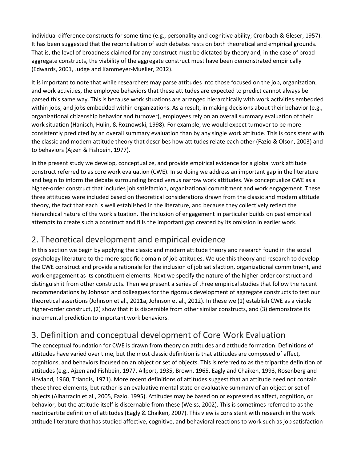individual difference constructs for some time (e.g., personality and cognitive ability; Cronbach & Gleser, 1957). It has been suggested that the reconciliation of such debates rests on both theoretical and empirical grounds. That is, the level of broadness claimed for any construct must be dictated by theory and, in the case of broad aggregate constructs, the viability of the aggregate construct must have been demonstrated empirically (Edwards, 2001, Judge and Kammeyer-Mueller, 2012).

It is important to note that while researchers may parse attitudes into those focused on the job, organization, and work activities, the employee behaviors that these attitudes are expected to predict cannot always be parsed this same way. This is because work situations are arranged hierarchically with work activities embedded within jobs, and jobs embedded within organizations. As a result, in making decisions about their behavior (e.g., organizational citizenship behavior and turnover), employees rely on an overall summary evaluation of their work situation (Hanisch, Hulin, & Roznowski, 1998). For example, we would expect turnover to be more consistently predicted by an overall summary evaluation than by any single work attitude. This is consistent with the classic and modern attitude theory that describes how attitudes relate each other (Fazio & Olson, 2003) and to behaviors (Ajzen & Fishbein, 1977).

In the present study we develop, conceptualize, and provide empirical evidence for a global work attitude construct referred to as core work evaluation (CWE). In so doing we address an important gap in the literature and begin to inform the debate surrounding broad versus narrow work attitudes. We conceptualize CWE as a higher-order construct that includes job satisfaction, organizational commitment and work engagement. These three attitudes were included based on theoretical considerations drawn from the classic and modern attitude theory, the fact that each is well established in the literature, and because they collectively reflect the hierarchical nature of the work situation. The inclusion of engagement in particular builds on past empirical attempts to create such a construct and fills the important gap created by its omission in earlier work.

## 2. Theoretical development and empirical evidence

In this section we begin by applying the classic and modern attitude theory and research found in the social psychology literature to the more specific domain of job attitudes. We use this theory and research to develop the CWE construct and provide a rationale for the inclusion of job satisfaction, organizational commitment, and work engagement as its constituent elements. Next we specify the nature of the higher-order construct and distinguish it from other constructs. Then we present a series of three empirical studies that follow the recent recommendations by Johnson and colleagues for the rigorous development of aggregate constructs to test our theoretical assertions (Johnson et al., 2011a, Johnson et al., 2012). In these we (1) establish CWE as a viable higher-order construct, (2) show that it is discernible from other similar constructs, and (3) demonstrate its incremental prediction to important work behaviors.

# 3. Definition and conceptual development of Core Work Evaluation

The conceptual foundation for CWE is drawn from theory on attitudes and attitude formation. Definitions of attitudes have varied over time, but the most classic definition is that attitudes are composed of affect, cognitions, and behaviors focused on an object or set of objects. This is referred to as the tripartite definition of attitudes (e.g., Ajzen and Fishbein, 1977, Allport, 1935, Brown, 1965, Eagly and Chaiken, 1993, Rosenberg and Hovland, 1960, Triandis, 1971). More recent definitions of attitudes suggest that an attitude need not contain these three elements, but rather is an evaluative mental state or evaluative summary of an object or set of objects (Albarracin et al., 2005, Fazio, 1995). Attitudes may be based on or expressed as affect, cognition, or behavior, but the attitude itself is discernable from these (Weiss, 2002). This is sometimes referred to as the neotripartite definition of attitudes (Eagly & Chaiken, 2007). This view is consistent with research in the work attitude literature that has studied affective, cognitive, and behavioral reactions to work such as job satisfaction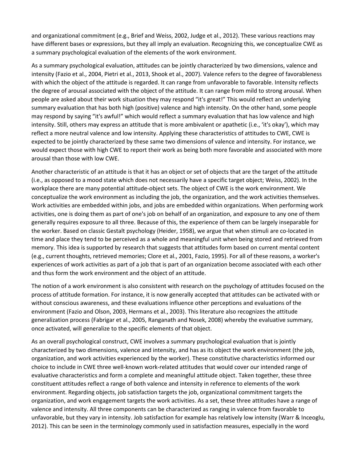and organizational commitment (e.g., Brief and Weiss, 2002, Judge et al., 2012). These various reactions may have different bases or expressions, but they all imply an evaluation. Recognizing this, we conceptualize CWE as a summary psychological evaluation of the elements of the work environment.

As a summary psychological evaluation, attitudes can be jointly characterized by two dimensions, valence and intensity (Fazio et al., 2004, Pietri et al., 2013, Shook et al., 2007). Valence refers to the degree of favorableness with which the object of the attitude is regarded. It can range from unfavorable to favorable. Intensity reflects the degree of arousal associated with the object of the attitude. It can range from mild to strong arousal. When people are asked about their work situation they may respond "it's great!" This would reflect an underlying summary evaluation that has both high (positive) valence and high intensity. On the other hand, some people may respond by saying "it's awful!" which would reflect a summary evaluation that has low valence and high intensity. Still, others may express an attitude that is more ambivalent or apathetic (i.e., 'it's okay'), which may reflect a more neutral valence and low intensity. Applying these characteristics of attitudes to CWE, CWE is expected to be jointly characterized by these same two dimensions of valence and intensity. For instance, we would expect those with high CWE to report their work as being both more favorable and associated with more arousal than those with low CWE.

Another characteristic of an attitude is that it has an object or set of objects that are the target of the attitude (i.e., as opposed to a mood state which does not necessarily have a specific target object; Weiss, 2002). In the workplace there are many potential attitude-object sets. The object of CWE is the work environment. We conceptualize the work environment as including the job, the organization, and the work activities themselves. Work activities are embedded within jobs, and jobs are embedded within organizations. When performing work activities, one is doing them as part of one's job on behalf of an organization, and exposure to any one of them generally requires exposure to all three. Because of this, the experience of them can be largely inseparable for the worker. Based on classic Gestalt psychology (Heider, 1958), we argue that when stimuli are co-located in time and place they tend to be perceived as a whole and meaningful unit when being stored and retrieved from memory. This idea is supported by research that suggests that attitudes form based on current mental content (e.g., current thoughts, retrieved memories; Clore et al., 2001, Fazio, 1995). For all of these reasons, a worker's experiences of work activities as part of a job that is part of an organization become associated with each other and thus form the work environment and the object of an attitude.

The notion of a work environment is also consistent with research on the psychology of attitudes focused on the process of attitude formation. For instance, it is now generally accepted that attitudes can be activated with or without conscious awareness, and these evaluations influence other perceptions and evaluations of the environment (Fazio and Olson, 2003, Hermans et al., 2003). This literature also recognizes the attitude generalization process (Fabrigar et al., 2005, Ranganath and Nosek, 2008) whereby the evaluative summary, once activated, will generalize to the specific elements of that object.

As an overall psychological construct, CWE involves a summary psychological evaluation that is jointly characterized by two dimensions, valence and intensity, and has as its object the work environment (the job, organization, and work activities experienced by the worker). These constitutive characteristics informed our choice to include in CWE three well-known work-related attitudes that would cover our intended range of evaluative characteristics and form a complete and meaningful attitude object. Taken together, these three constituent attitudes reflect a range of both valence and intensity in reference to elements of the work environment. Regarding objects, job satisfaction targets the job, organizational commitment targets the organization, and work engagement targets the work activities. As a set, these three attitudes have a range of valence and intensity. All three components can be characterized as ranging in valence from favorable to unfavorable, but they vary in intensity. Job satisfaction for example has relatively low intensity (Warr & Inceoglu, 2012). This can be seen in the terminology commonly used in satisfaction measures, especially in the word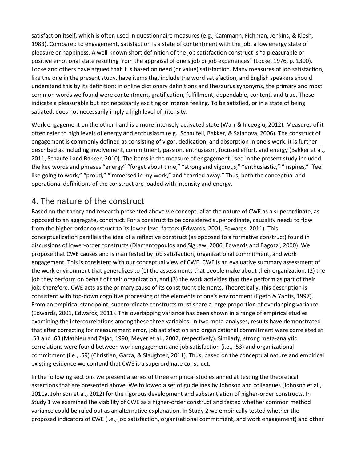satisfaction itself, which is often used in questionnaire measures (e.g., Cammann, Fichman, Jenkins, & Klesh, 1983). Compared to engagement, satisfaction is a state of contentment with the job, a low energy state of pleasure or happiness. A well-known short definition of the job satisfaction construct is "a pleasurable or positive emotional state resulting from the appraisal of one's job or job experiences" (Locke, 1976, p. 1300). Locke and others have argued that it is based on need (or value) satisfaction. Many measures of job satisfaction, like the one in the present study, have items that include the word satisfaction, and English speakers should understand this by its definition; in online dictionary definitions and thesaurus synonyms, the primary and most common words we found were contentment, gratification, fulfillment, dependable, content, and true. These indicate a pleasurable but not necessarily exciting or intense feeling. To be satisfied, or in a state of being satiated, does not necessarily imply a high level of intensity.

Work engagement on the other hand is a more intensely activated state (Warr & Inceoglu, 2012). Measures of it often refer to high levels of energy and enthusiasm (e.g., Schaufeli, Bakker, & Salanova, 2006). The construct of engagement is commonly defined as consisting of vigor, dedication, and absorption in one's work; it is further described as including involvement, commitment, passion, enthusiasm, focused effort, and energy (Bakker et al., 2011, Schaufeli and Bakker, 2010). The items in the measure of engagement used in the present study included the key words and phrases "energy" "forget about time," "strong and vigorous," "enthusiastic," "inspires," "feel like going to work," "proud," "immersed in my work," and "carried away." Thus, both the conceptual and operational definitions of the construct are loaded with intensity and energy.

## 4. The nature of the construct

Based on the theory and research presented above we conceptualize the nature of CWE as a superordinate, as opposed to an aggregate, construct. For a construct to be considered superordinate, causality needs to flow from the higher-order construct to its lower-level factors (Edwards, 2001, Edwards, 2011). This conceptualization parallels the idea of a reflective construct (as opposed to a formative construct) found in discussions of lower-order constructs (Diamantopoulos and Siguaw, 2006, Edwards and Bagozzi, 2000). We propose that CWE causes and is manifested by job satisfaction, organizational commitment, and work engagement. This is consistent with our conceptual view of CWE. CWE is an evaluative summary assessment of the work environment that generalizes to (1) the assessments that people make about their organization, (2) the job they perform on behalf of their organization, and (3) the work activities that they perform as part of their job; therefore, CWE acts as the primary cause of its constituent elements. Theoretically, this description is consistent with top-down cognitive processing of the elements of one's environment (Egeth & Yantis, 1997). From an empirical standpoint, superordinate constructs must share a large proportion of overlapping variance (Edwards, 2001, Edwards, 2011). This overlapping variance has been shown in a range of empirical studies examining the intercorrelations among these three variables. In two meta-analyses, results have demonstrated that after correcting for measurement error, job satisfaction and organizational commitment were correlated at .53 and .63 (Mathieu and Zajac, 1990, Meyer et al., 2002, respectively). Similarly, strong meta-analytic correlations were found between work engagement and job satisfaction (i.e., .53) and organizational commitment (i.e., .59) (Christian, Garza, & Slaughter, 2011). Thus, based on the conceptual nature and empirical existing evidence we contend that CWE is a superordinate construct.

In the following sections we present a series of three empirical studies aimed at testing the theoretical assertions that are presented above. We followed a set of guidelines by Johnson and colleagues (Johnson et al., 2011a, Johnson et al., 2012) for the rigorous development and substantiation of higher-order constructs. In Study 1 we examined the viability of CWE as a higher-order construct and tested whether common method variance could be ruled out as an alternative explanation. In Study 2 we empirically tested whether the proposed indicators of CWE (i.e., job satisfaction, organizational commitment, and work engagement) and other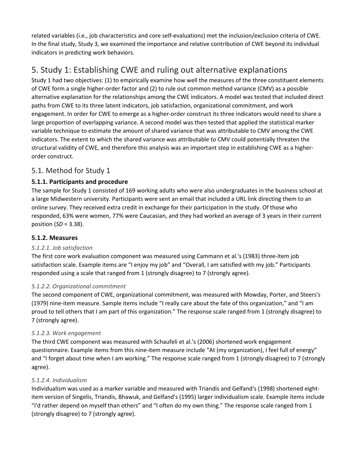related variables (i.e., job characteristics and core self-evaluations) met the inclusion/exclusion criteria of CWE. In the final study, Study 3, we examined the importance and relative contribution of CWE beyond its individual indicators in predicting work behaviors.

# 5. Study 1: Establishing CWE and ruling out alternative explanations

Study 1 had two objectives: (1) to empirically examine how well the measures of the three constituent elements of CWE form a single higher-order factor and (2) to rule out common method variance (CMV) as a possible alternative explanation for the relationships among the CWE indicators. A model was tested that included direct paths from CWE to its three latent indicators, job satisfaction, organizational commitment, and work engagement. In order for CWE to emerge as a higher-order construct its three indicators would need to share a large proportion of overlapping variance. A second model was then tested that applied the statistical marker variable technique to estimate the amount of shared variance that was attributable to CMV among the CWE indicators. The extent to which the shared variance was attributable to CMV could potentially threaten the structural validity of CWE, and therefore this analysis was an important step in establishing CWE as a higherorder construct.

#### 5.1. Method for Study 1

#### **5.1.1. Participants and procedure**

The sample for Study 1 consisted of 169 working adults who were also undergraduates in the business school at a large Midwestern university. Participants were sent an email that included a URL link directing them to an online survey. They received extra credit in exchange for their participation in the study. Of those who responded, 63% were women, 77% were Caucasian, and they had worked an average of 3 years in their current position (*SD* = 3.38).

#### **5.1.2. Measures**

#### *5.1.2.1. Job satisfaction*

The first core work evaluation component was measured using Cammann et al.'s (1983) three-item job satisfaction scale. Example items are "I enjoy my job" and "Overall, I am satisfied with my job." Participants responded using a scale that ranged from 1 (strongly disagree) to 7 (strongly agree).

#### *5.1.2.2. Organizational commitment*

The second component of CWE, organizational commitment, was measured with Mowday, Porter, and Steers's (1979) nine-item measure. Sample items include "I really care about the fate of this organization," and "I am proud to tell others that I am part of this organization." The response scale ranged from 1 (strongly disagree) to 7 (strongly agree).

#### *5.1.2.3. Work engagement*

The third CWE component was measured with Schaufeli et al.'s (2006) shortened work engagement questionnaire. Example items from this nine-item measure include "At (my organization), I feel full of energy" and "I forget about time when I am working." The response scale ranged from 1 (strongly disagree) to 7 (strongly agree).

#### *5.1.2.4. Individualism*

Individualism was used as a marker variable and measured with Triandis and Gelfand's (1998) shortened eightitem version of Singelis, Triandis, Bhawuk, and Gelfand's (1995) larger individualism scale. Example items include "I'd rather depend on myself than others" and "I often do my own thing." The response scale ranged from 1 (strongly disagree) to 7 (strongly agree).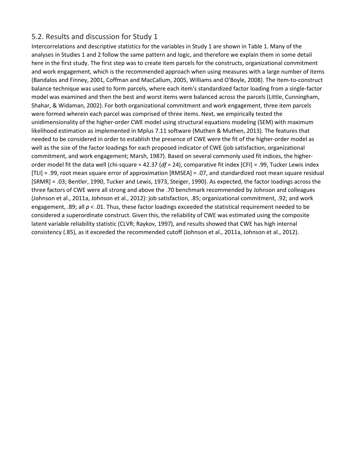#### 5.2. Results and discussion for Study 1

Intercorrelations and descriptive statistics for the variables in Study 1 are shown in Table 1. Many of the analyses in Studies 1 and 2 follow the same pattern and logic, and therefore we explain them in some detail here in the first study. The first step was to create item parcels for the constructs, organizational commitment and work engagement, which is the recommended approach when using measures with a large number of items (Bandalos and Finney, 2001, Coffman and MacCallum, 2005, Williams and O'Boyle, 2008). The item-to-construct balance technique was used to form parcels, where each item's standardized factor loading from a single-factor model was examined and then the best and worst items were balanced across the parcels (Little, Cunningham, Shahar, & Widaman, 2002). For both organizational commitment and work engagement, three item parcels were formed wherein each parcel was comprised of three items. Next, we empirically tested the unidimensionality of the higher-order CWE model using structural equations modeling (SEM) with maximum likelihood estimation as implemented in Mplus 7.11 software (Muthen & Muthen, 2013). The features that needed to be considered in order to establish the presence of CWE were the fit of the higher-order model as well as the size of the factor loadings for each proposed indicator of CWE (job satisfaction, organizational commitment, and work engagement; Marsh, 1987). Based on several commonly used fit indices, the higherorder model fit the data well (chi-square = 42.37 (*df* = 24), comparative fit index [CFI] = .99, Tucker Lewis index [TLI] = .99, root mean square error of approximation [RMSEA] = .07, and standardized root mean square residual [SRMR] = .03; Bentler, 1990, Tucker and Lewis, 1973, Steiger, 1990). As expected, the factor loadings across the three factors of CWE were all strong and above the .70 benchmark recommended by Johnson and colleagues (Johnson et al., 2011a, Johnson et al., 2012): job satisfaction, .85; organizational commitment, .92; and work engagement, .89; all  $p < 0.01$ . Thus, these factor loadings exceeded the statistical requirement needed to be considered a superordinate construct. Given this, the reliability of CWE was estimated using the composite latent variable reliability statistic (CLVR; Raykov, 1997), and results showed that CWE has high internal consistency (.85), as it exceeded the recommended cutoff (Johnson et al., 2011a, Johnson et al., 2012).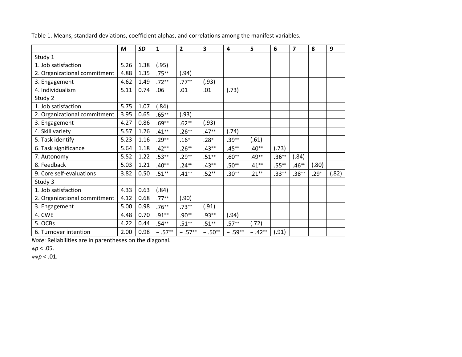|                              | M    | <b>SD</b> | $\mathbf{1}$ | $\overline{2}$ | 3        | 4        | 5        | 6        | $\overline{\mathbf{z}}$ | 8      | 9     |
|------------------------------|------|-----------|--------------|----------------|----------|----------|----------|----------|-------------------------|--------|-------|
| Study 1                      |      |           |              |                |          |          |          |          |                         |        |       |
| 1. Job satisfaction          | 5.26 | 1.38      | (.95)        |                |          |          |          |          |                         |        |       |
| 2. Organizational commitment | 4.88 | 1.35      | $.75***$     | (.94)          |          |          |          |          |                         |        |       |
| 3. Engagement                | 4.62 | 1.49      | $.72**$      | $.77***$       | (.93)    |          |          |          |                         |        |       |
| 4. Individualism             | 5.11 | 0.74      | .06          | .01            | .01      | (.73)    |          |          |                         |        |       |
| Study 2                      |      |           |              |                |          |          |          |          |                         |        |       |
| 1. Job satisfaction          | 5.75 | 1.07      | (.84)        |                |          |          |          |          |                         |        |       |
| 2. Organizational commitment | 3.95 | 0.65      | $.65***$     | (.93)          |          |          |          |          |                         |        |       |
| 3. Engagement                | 4.27 | 0.86      | $.69**$      | $.62**$        | (.93)    |          |          |          |                         |        |       |
| 4. Skill variety             | 5.57 | 1.26      | $.41***$     | $.26***$       | $.47**$  | (.74)    |          |          |                         |        |       |
| 5. Task identify             | 5.23 | 1.16      | $.29**$      | $.16*$         | $.28*$   | $.39**$  | (.61)    |          |                         |        |       |
| 6. Task significance         | 5.64 | 1.18      | $.42**$      | $.26***$       | $.43***$ | $.45***$ | $.40**$  | (.73)    |                         |        |       |
| 7. Autonomy                  | 5.52 | 1.22      | $.53**$      | $.29**$        | $.51**$  | $.60**$  | .49**    | $.36**$  | (.84)                   |        |       |
| 8. Feedback                  | 5.03 | 1.21      | $.40**$      | $.24**$        | $.43**$  | $.50**$  | $.41**$  | $.55***$ | $.46**$                 | (.80)  |       |
| 9. Core self-evaluations     | 3.82 | 0.50      | $.51**$      | $.41**$        | $.52**$  | $.30**$  | $.21**$  | $.33**$  | $.38**$                 | $.29*$ | (.82) |
| Study 3                      |      |           |              |                |          |          |          |          |                         |        |       |
| 1. Job satisfaction          | 4.33 | 0.63      | (.84)        |                |          |          |          |          |                         |        |       |
| 2. Organizational commitment | 4.12 | 0.68      | $.77***$     | (.90)          |          |          |          |          |                         |        |       |
| 3. Engagement                | 5.00 | 0.98      | $.76**$      | $.73**$        | (.91)    |          |          |          |                         |        |       |
| 4. CWE                       | 4.48 | 0.70      | $.91**$      | $.90**$        | $.93**$  | (.94)    |          |          |                         |        |       |
| 5. OCBs                      | 4.22 | 0.44      | $.54**$      | $.51**$        | $.51**$  | $.57**$  | (.72)    |          |                         |        |       |
| 6. Turnover intention        | 2.00 | 0.98      | $-.57**$     | $-.57**$       | $-.50**$ | $-.59**$ | $-.42**$ | (.91)    |                         |        |       |

Table 1. Means, standard deviations, coefficient alphas, and correlations among the manifest variables.

*Note*: Reliabilities are in parentheses on the diagonal.

⁎*p* < .05.

⁎⁎*p* < .01.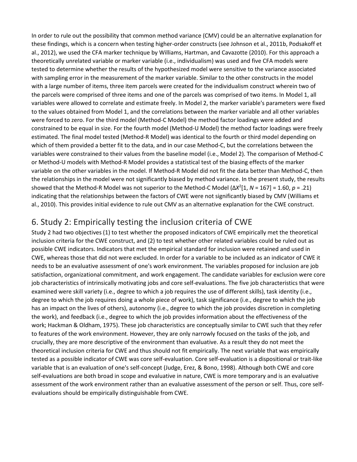In order to rule out the possibility that common method variance (CMV) could be an alternative explanation for these findings, which is a concern when testing higher-order constructs (see Johnson et al., 2011b, Podsakoff et al., 2012), we used the CFA marker technique by Williams, Hartman, and Cavazotte (2010). For this approach a theoretically unrelated variable or marker variable (i.e., individualism) was used and five CFA models were tested to determine whether the results of the hypothesized model were sensitive to the variance associated with sampling error in the measurement of the marker variable. Similar to the other constructs in the model with a large number of items, three item parcels were created for the individualism construct wherein two of the parcels were comprised of three items and one of the parcels was comprised of two items. In Model 1, all variables were allowed to correlate and estimate freely. In Model 2, the marker variable's parameters were fixed to the values obtained from Model 1, and the correlations between the marker variable and all other variables were forced to zero. For the third model (Method-C Model) the method factor loadings were added and constrained to be equal in size. For the fourth model (Method-U Model) the method factor loadings were freely estimated. The final model tested (Method-R Model) was identical to the fourth or third model depending on which of them provided a better fit to the data, and in our case Method-C, but the correlations between the variables were constrained to their values from the baseline model (i.e., Model 2). The comparison of Method-C or Method-U models with Method-R Model provides a statistical test of the biasing effects of the marker variable on the other variables in the model. If Method-R Model did not fit the data better than Method-C, then the relationships in the model were not significantly biased by method variance. In the present study, the results showed that the Method-R Model was not superior to the Method-C Model (∆*X*<sup>2</sup> [1, *N* = 167] = 1.60, *p* = .21) indicating that the relationships between the factors of CWE were not significantly biased by CMV (Williams et al., 2010). This provides initial evidence to rule out CMV as an alternative explanation for the CWE construct.

# 6. Study 2: Empirically testing the inclusion criteria of CWE

Study 2 had two objectives (1) to test whether the proposed indicators of CWE empirically met the theoretical inclusion criteria for the CWE construct, and (2) to test whether other related variables could be ruled out as possible CWE indicators. Indicators that met the empirical standard for inclusion were retained and used in CWE, whereas those that did not were excluded. In order for a variable to be included as an indicator of CWE it needs to be an evaluative assessment of one's work environment. The variables proposed for inclusion are job satisfaction, organizational commitment, and work engagement. The candidate variables for exclusion were core job characteristics of intrinsically motivating jobs and core self-evaluations. The five job characteristics that were examined were skill variety (i.e., degree to which a job requires the use of different skills), task identity (i.e., degree to which the job requires doing a whole piece of work), task significance (i.e., degree to which the job has an impact on the lives of others), autonomy (i.e., degree to which the job provides discretion in completing the work), and feedback (i.e., degree to which the job provides information about the effectiveness of the work; Hackman & Oldham, 1975). These job characteristics are conceptually similar to CWE such that they refer to features of the work environment. However, they are only narrowly focused on the tasks of the job, and crucially, they are more descriptive of the environment than evaluative. As a result they do not meet the theoretical inclusion criteria for CWE and thus should not fit empirically. The next variable that was empirically tested as a possible indicator of CWE was core self-evaluation. Core self-evaluation is a dispositional or trait-like variable that is an evaluation of one's self-concept (Judge, Erez, & Bono, 1998). Although both CWE and core self-evaluations are both broad in scope and evaluative in nature, CWE is more temporary and is an evaluative assessment of the work environment rather than an evaluative assessment of the person or self. Thus, core selfevaluations should be empirically distinguishable from CWE.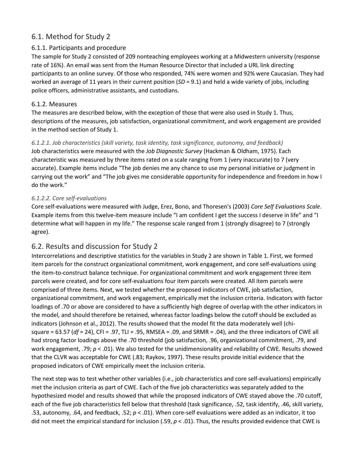#### 6.1. Method for Study 2

#### 6.1.1. Participants and procedure

The sample for Study 2 consisted of 209 nonteaching employees working at a Midwestern university (response rate of 16%). An email was sent from the Human Resource Director that included a URL link directing participants to an online survey. Of those who responded, 74% were women and 92% were Caucasian. They had worked an average of 11 years in their current position (*SD* = 9.1) and held a wide variety of jobs, including police officers, administrative assistants, and custodians.

#### 6.1.2. Measures

The measures are described below, with the exception of those that were also used in Study 1. Thus, descriptions of the measures, job satisfaction, organizational commitment, and work engagement are provided in the method section of Study 1.

#### *6.1.2.1. Job characteristics (skill variety, task identity, task significance, autonomy, and feedback)*

Job characteristics were measured with the *Job Diagnostic Survey* (Hackman & Oldham, 1975). Each characteristic was measured by three items rated on a scale ranging from 1 (very inaccurate) to 7 (very accurate). Example items include "The job denies me any chance to use my personal initiative or judgment in carrying out the work" and "The job gives me considerable opportunity for independence and freedom in how I do the work."

#### *6.1.2.2. Core self-evaluations*

Core self-evaluations were measured with Judge, Erez, Bono, and Thoresen's (2003) *Core Self Evaluations Scale*. Example items from this twelve-item measure include "I am confident I get the success I deserve in life" and "I determine what will happen in my life." The response scale ranged from 1 (strongly disagree) to 7 (strongly agree).

#### 6.2. Results and discussion for Study 2

Intercorrelations and descriptive statistics for the variables in Study 2 are shown in Table 1. First, we formed item parcels for the construct organizational commitment, work engagement, and core self-evaluations using the item-to-construct balance technique. For organizational commitment and work engagement three item parcels were created, and for core self-evaluations four item parcels were created. All item parcels were comprised of three items. Next, we tested whether the proposed indicators of CWE, job satisfaction, organizational commitment, and work engagement, empirically met the inclusion criteria. Indicators with factor loadings of .70 or above are considered to have a sufficiently high degree of overlap with the other indicators in the model, and should therefore be retained, whereas factor loadings below the cutoff should be excluded as indicators (Johnson et al., 2012). The results showed that the model fit the data moderately well (chisquare = 63.57 (*df* = 24), CFI = .97, TLI = .95, RMSEA = .09, and SRMR = .04), and the three indicators of CWE all had strong factor loadings above the .70 threshold (job satisfaction, .96, organizational commitment, .79, and work engagement, .79; *p* < .01). We also tested for the unidimensionality and reliability of CWE. Results showed that the CLVR was acceptable for CWE (.83; Raykov, 1997). These results provide initial evidence that the proposed indicators of CWE empirically meet the inclusion criteria.

The next step was to test whether other variables (i.e., job characteristics and core self-evaluations) empirically met the inclusion criteria as part of CWE. Each of the five job characteristics was separately added to the hypothesized model and results showed that while the proposed indicators of CWE stayed above the .70 cutoff, each of the five job characteristics fell below that threshold (task significance, .52, task identify, .46, skill variety, .53, autonomy, .64, and feedback, .52; *p* < .01). When core-self evaluations were added as an indicator, it too did not meet the empirical standard for inclusion (.59, *p* < .01). Thus, the results provided evidence that CWE is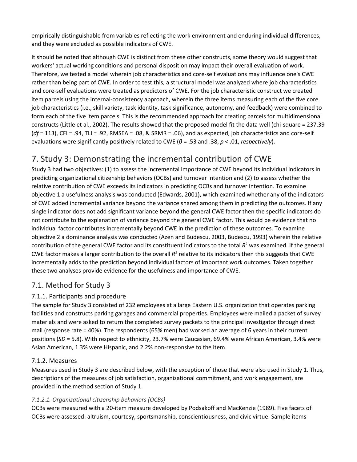empirically distinguishable from variables reflecting the work environment and enduring individual differences, and they were excluded as possible indicators of CWE.

It should be noted that although CWE is distinct from these other constructs, some theory would suggest that workers' actual working conditions and personal disposition may impact their overall evaluation of work. Therefore, we tested a model wherein job characteristics and core-self evaluations may influence one's CWE rather than being part of CWE. In order to test this, a structural model was analyzed where job characteristics and core-self evaluations were treated as predictors of CWE. For the job characteristic construct we created item parcels using the internal-consistency approach, wherein the three items measuring each of the five core job characteristics (i.e., skill variety, task identity, task significance, autonomy, and feedback) were combined to form each of the five item parcels. This is the recommended approach for creating parcels for multidimensional constructs (Little et al., 2002). The results showed that the proposed model fit the data well (chi-square = 237.39 (*df* = 113), CFI = .94, TLI = .92, RMSEA = .08, & SRMR = .06), and as expected, job characteristics and core-self evaluations were significantly positively related to CWE (*β* = .53 and .38, *p* < .01, *respectively*).

## 7. Study 3: Demonstrating the incremental contribution of CWE

Study 3 had two objectives: (1) to assess the incremental importance of CWE beyond its individual indicators in predicting organizational citizenship behaviors (OCBs) and turnover intention and (2) to assess whether the relative contribution of CWE exceeds its indicators in predicting OCBs and turnover intention. To examine objective 1 a usefulness analysis was conducted (Edwards, 2001), which examined whether any of the indicators of CWE added incremental variance beyond the variance shared among them in predicting the outcomes. If any single indicator does not add significant variance beyond the general CWE factor then the specific indicators do not contribute to the explanation of variance beyond the general CWE factor. This would be evidence that no individual factor contributes incrementally beyond CWE in the prediction of these outcomes. To examine objective 2 a dominance analysis was conducted (Azen and Budescu, 2003, Budescu, 1993) wherein the relative contribution of the general CWE factor and its constituent indicators to the total *R*<sup>2</sup> was examined. If the general CWE factor makes a larger contribution to the overall *R*<sup>2</sup> relative to its indicators then this suggests that CWE incrementally adds to the prediction beyond individual factors of important work outcomes. Taken together these two analyses provide evidence for the usefulness and importance of CWE.

#### 7.1. Method for Study 3

#### 7.1.1. Participants and procedure

The sample for Study 3 consisted of 232 employees at a large Eastern U.S. organization that operates parking facilities and constructs parking garages and commercial properties. Employees were mailed a packet of survey materials and were asked to return the completed survey packets to the principal investigator through direct mail (response rate = 40%). The respondents (65% men) had worked an average of 6 years in their current positions (*SD* = 5.8). With respect to ethnicity, 23.7% were Caucasian, 69.4% were African American, 3.4% were Asian American, 1.3% were Hispanic, and 2.2% non-responsive to the item.

#### 7.1.2. Measures

Measures used in Study 3 are described below, with the exception of those that were also used in Study 1. Thus, descriptions of the measures of job satisfaction, organizational commitment, and work engagement, are provided in the method section of Study 1.

#### *7.1.2.1. Organizational citizenship behaviors (OCBs)*

OCBs were measured with a 20-item measure developed by Podsakoff and MacKenzie (1989). Five facets of OCBs were assessed: altruism, courtesy, sportsmanship, conscientiousness, and civic virtue. Sample items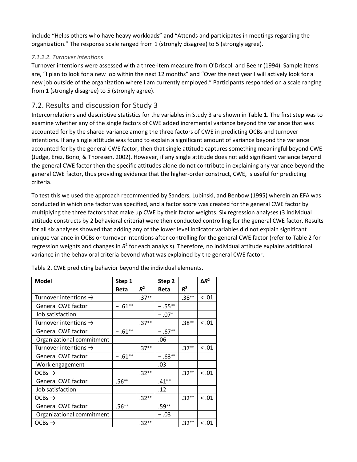include "Helps others who have heavy workloads" and "Attends and participates in meetings regarding the organization." The response scale ranged from 1 (strongly disagree) to 5 (strongly agree).

#### *7.1.2.2. Turnover intentions*

Turnover intentions were assessed with a three-item measure from O'Driscoll and Beehr (1994). Sample items are, "I plan to look for a new job within the next 12 months" and "Over the next year I will actively look for a new job outside of the organization where I am currently employed." Participants responded on a scale ranging from 1 (strongly disagree) to 5 (strongly agree).

#### 7.2. Results and discussion for Study 3

Intercorrelations and descriptive statistics for the variables in Study 3 are shown in Table 1. The first step was to examine whether any of the single factors of CWE added incremental variance beyond the variance that was accounted for by the shared variance among the three factors of CWE in predicting OCBs and turnover intentions. If any single attitude was found to explain a significant amount of variance beyond the variance accounted for by the general CWE factor, then that single attitude captures something meaningful beyond CWE (Judge, Erez, Bono, & Thoresen, 2002). However, if any single attitude does not add significant variance beyond the general CWE factor then the specific attitudes alone do not contribute in explaining any variance beyond the general CWE factor, thus providing evidence that the higher-order construct, CWE, is useful for predicting criteria.

To test this we used the approach recommended by Sanders, Lubinski, and Benbow (1995) wherein an EFA was conducted in which one factor was specified, and a factor score was created for the general CWE factor by multiplying the three factors that make up CWE by their factor weights. Six regression analyses (3 individual attitude constructs by 2 behavioral criteria) were then conducted controlling for the general CWE factor. Results for all six analyses showed that adding any of the lower level indicator variables did not explain significant unique variance in OCBs or turnover intentions after controlling for the general CWE factor (refer to Table 2 for regression weights and changes in *R*<sup>2</sup> for each analysis). Therefore, no individual attitude explains additional variance in the behavioral criteria beyond what was explained by the general CWE factor.

| <b>Model</b>                      | Step 1      |          | Step 2      |          | $\Delta R^2$ |
|-----------------------------------|-------------|----------|-------------|----------|--------------|
|                                   | <b>Beta</b> | $R^2$    | <b>Beta</b> | $R^2$    |              |
| Turnover intentions $\rightarrow$ |             | $.37***$ |             | $.38**$  | < .01        |
| <b>General CWE factor</b>         | $-.61***$   |          | $-.55***$   |          |              |
| Job satisfaction                  |             |          | $-.07*$     |          |              |
| Turnover intentions $\rightarrow$ |             | $.37***$ |             | $.38**$  | < .01        |
| <b>General CWE factor</b>         | $-.61**$    |          | $-.67**$    |          |              |
| Organizational commitment         |             |          | .06         |          |              |
| Turnover intentions $\rightarrow$ |             | $.37***$ |             | $.37***$ | < 0.01       |
| <b>General CWE factor</b>         | $-.61**$    |          | $-.63**$    |          |              |
| Work engagement                   |             |          | .03         |          |              |
| OCBs $\rightarrow$                |             | $.32**$  |             | $.32**$  | < .01        |
| <b>General CWE factor</b>         | $.56***$    |          | $.41***$    |          |              |
| Job satisfaction                  |             |          | .12         |          |              |
| OCBs $\rightarrow$                |             | $.32**$  |             | $.32**$  | < 0.01       |
| <b>General CWE factor</b>         | $.56***$    |          | $.59***$    |          |              |
| Organizational commitment         |             |          | $-.03$      |          |              |
| OCBs $\rightarrow$                |             | $.32**$  |             | $.32**$  | < 0.01       |

Table 2. CWE predicting behavior beyond the individual elements.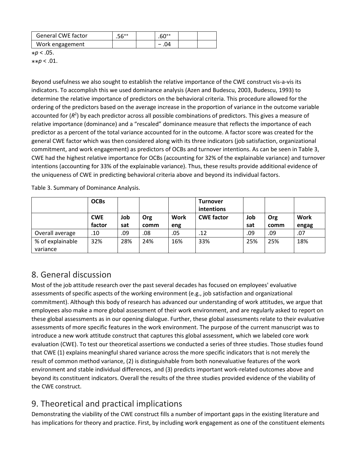| $.60**$                  | <b>56**</b> | <b>General CWE factor</b> |  |
|--------------------------|-------------|---------------------------|--|
| $\overline{\phantom{0}}$ |             | Work engagement           |  |
|                          |             |                           |  |

 $*D < .05$ .

 $**p < .01$ .

Beyond usefulness we also sought to establish the relative importance of the CWE construct vis-a-vis its indicators. To accomplish this we used dominance analysis (Azen and Budescu, 2003, Budescu, 1993) to determine the relative importance of predictors on the behavioral criteria. This procedure allowed for the ordering of the predictors based on the average increase in the proportion of variance in the outcome variable accounted for ( $R^2$ ) by each predictor across all possible combinations of predictors. This gives a measure of relative importance (dominance) and a "rescaled" dominance measure that reflects the importance of each predictor as a percent of the total variance accounted for in the outcome. A factor score was created for the general CWE factor which was then considered along with its three indicators (job satisfaction, organizational commitment, and work engagement) as predictors of OCBs and turnover intentions. As can be seen in Table 3, CWE had the highest relative importance for OCBs (accounting for 32% of the explainable variance) and turnover intentions (accounting for 33% of the explainable variance). Thus, these results provide additional evidence of the uniqueness of CWE in predicting behavioral criteria above and beyond its individual factors.

|                              | <b>OCBs</b> |     |      |             | <b>Turnover</b><br>intentions |     |      |             |
|------------------------------|-------------|-----|------|-------------|-------------------------------|-----|------|-------------|
|                              | <b>CWE</b>  | Job | Org  | <b>Work</b> | <b>CWE factor</b>             | Job | Org  | <b>Work</b> |
|                              | factor      | sat | comm | eng         |                               | sat | comm | engag       |
| Overall average              | .10         | .09 | .08  | .05         | .12                           | .09 | .09  | .07         |
| % of explainable<br>variance | 32%         | 28% | 24%  | 16%         | 33%                           | 25% | 25%  | 18%         |

Table 3. Summary of Dominance Analysis.

## 8. General discussion

Most of the job attitude research over the past several decades has focused on employees' evaluative assessments of specific aspects of the working environment (e.g., job satisfaction and organizational commitment). Although this body of research has advanced our understanding of work attitudes, we argue that employees also make a more global assessment of their work environment, and are regularly asked to report on these global assessments as in our opening dialogue. Further, these global assessments relate to their evaluative assessments of more specific features in the work environment. The purpose of the current manuscript was to introduce a new work attitude construct that captures this global assessment, which we labeled core work evaluation (CWE). To test our theoretical assertions we conducted a series of three studies. Those studies found that CWE (1) explains meaningful shared variance across the more specific indicators that is not merely the result of common method variance, (2) is distinguishable from both nonevaluative features of the work environment and stable individual differences, and (3) predicts important work-related outcomes above and beyond its constituent indicators. Overall the results of the three studies provided evidence of the viability of the CWE construct.

# 9. Theoretical and practical implications

Demonstrating the viability of the CWE construct fills a number of important gaps in the existing literature and has implications for theory and practice. First, by including work engagement as one of the constituent elements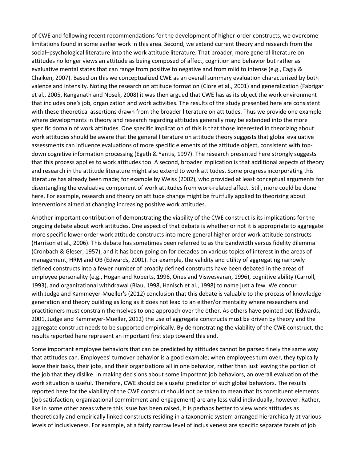of CWE and following recent recommendations for the development of higher-order constructs, we overcome limitations found in some earlier work in this area. Second, we extend current theory and research from the social–psychological literature into the work attitude literature. That broader, more general literature on attitudes no longer views an attitude as being composed of affect, cognition and behavior but rather as evaluative mental states that can range from positive to negative and from mild to intense (e.g., Eagly & Chaiken, 2007). Based on this we conceptualized CWE as an overall summary evaluation characterized by both valence and intensity. Noting the research on attitude formation (Clore et al., 2001) and generalization (Fabrigar et al., 2005, Ranganath and Nosek, 2008) it was then argued that CWE has as its object the work environment that includes one's job, organization and work activities. The results of the study presented here are consistent with these theoretical assertions drawn from the broader literature on attitudes. Thus we provide one example where developments in theory and research regarding attitudes generally may be extended into the more specific domain of work attitudes. One specific implication of this is that those interested in theorizing about work attitudes should be aware that the general literature on attitude theory suggests that global evaluative assessments can influence evaluations of more specific elements of the attitude object, consistent with topdown cognitive information processing (Egeth & Yantis, 1997). The research presented here strongly suggests that this process applies to work attitudes too. A second, broader implication is that additional aspects of theory and research in the attitude literature might also extend to work attitudes. Some progress incorporating this literature has already been made; for example by Weiss (2002), who provided at least conceptual arguments for disentangling the evaluative component of work attitudes from work-related affect. Still, more could be done here. For example, research and theory on attitude change might be fruitfully applied to theorizing about interventions aimed at changing increasing positive work attitudes.

Another important contribution of demonstrating the viability of the CWE construct is its implications for the ongoing debate about work attitudes. One aspect of that debate is whether or not it is appropriate to aggregate more specific lower order work attitude constructs into more general higher order work attitude constructs (Harrison et al., 2006). This debate has sometimes been referred to as the bandwidth versus fidelity dilemma (Cronbach & Gleser, 1957), and it has been going on for decades on various topics of interest in the areas of management, HRM and OB (Edwards, 2001). For example, the validity and utility of aggregating narrowly defined constructs into a fewer number of broadly defined constructs have been debated in the areas of employee personality (e.g., Hogan and Roberts, 1996, Ones and Viswesvaran, 1996), cognitive ability (Carroll, 1993), and organizational withdrawal (Blau, 1998, Hanisch et al., 1998) to name just a few. We concur with Judge and Kammeyer-Mueller's (2012) conclusion that this debate is valuable to the process of knowledge generation and theory building as long as it does not lead to an either/or mentality where researchers and practitioners must constrain themselves to one approach over the other. As others have pointed out (Edwards, 2001, Judge and Kammeyer-Mueller, 2012) the use of aggregate constructs must be driven by theory and the aggregate construct needs to be supported empirically. By demonstrating the viability of the CWE construct, the results reported here represent an important first step toward this end.

Some important employee behaviors that can be predicted by attitudes cannot be parsed finely the same way that attitudes can. Employees' turnover behavior is a good example; when employees turn over, they typically leave their tasks, their jobs, and their organizations all in one behavior, rather than just leaving the portion of the job that they dislike. In making decisions about some important job behaviors, an overall evaluation of the work situation is useful. Therefore, CWE should be a useful predictor of such global behaviors. The results reported here for the viability of the CWE construct should not be taken to mean that its constituent elements (job satisfaction, organizational commitment and engagement) are any less valid individually, however. Rather, like in some other areas where this issue has been raised, it is perhaps better to view work attitudes as theoretically and empirically linked constructs residing in a taxonomic system arranged hierarchically at various levels of inclusiveness. For example, at a fairly narrow level of inclusiveness are specific separate facets of job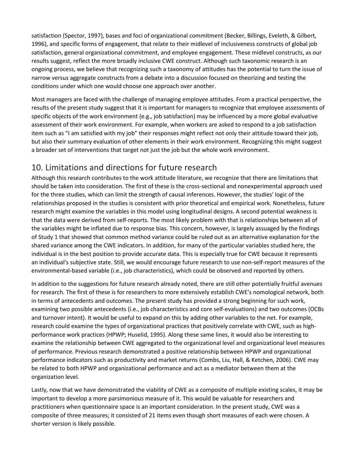satisfaction (Spector, 1997), bases and foci of organizational commitment (Becker, Billings, Eveleth, & Gilbert, 1996), and specific forms of engagement, that relate to their midlevel of inclusiveness constructs of global job satisfaction, general organizational commitment, and employee engagement. These midlevel constructs, as our results suggest, reflect the more broadly inclusive CWE construct. Although such taxonomic research is an ongoing process, we believe that recognizing such a taxonomy of attitudes has the potential to turn the issue of narrow versus aggregate constructs from a debate into a discussion focused on theorizing and testing the conditions under which one would choose one approach over another.

Most managers are faced with the challenge of managing employee attitudes. From a practical perspective, the results of the present study suggest that it is important for managers to recognize that employee assessments of specific objects of the work environment (e.g., job satisfaction) may be influenced by a more global evaluative assessment of their work environment. For example, when workers are asked to respond to a job satisfaction item such as "I am satisfied with my job" their responses might reflect not only their attitude toward their job, but also their summary evaluation of other elements in their work environment. Recognizing this might suggest a broader set of interventions that target not just the job but the whole work environment.

# 10. Limitations and directions for future research

Although this research contributes to the work attitude literature, we recognize that there are limitations that should be taken into consideration. The first of these is the cross-sectional and nonexperimental approach used for the three studies, which can limit the strength of causal inferences. However, the studies' logic of the relationships proposed in the studies is consistent with prior theoretical and empirical work. Nonetheless, future research might examine the variables in this model using longitudinal designs. A second potential weakness is that the data were derived from self-reports. The most likely problem with that is relationships between all of the variables might be inflated due to response bias. This concern, however, is largely assuaged by the findings of Study 1 that showed that common method variance could be ruled out as an alternative explanation for the shared variance among the CWE indicators. In addition, for many of the particular variables studied here, the individual is in the best position to provide accurate data. This is especially true for CWE because it represents an individual's subjective state. Still, we would encourage future research to use non-self-report measures of the environmental-based variable (i.e., job characteristics), which could be observed and reported by others.

In addition to the suggestions for future research already noted, there are still other potentially fruitful avenues for research. The first of these is for researchers to more extensively establish CWE's nomological network, both in terms of antecedents and outcomes. The present study has provided a strong beginning for such work, examining two possible antecedents (i.e., job characteristics and core self-evaluations) and two outcomes (OCBs and turnover intent). It would be useful to expand on this by adding other variables to the net. For example, research could examine the types of organizational practices that positively correlate with CWE, such as highperformance work practices (HPWP; Huselid, 1995). Along these same lines, it would also be interesting to examine the relationship between CWE aggregated to the organizational level and organizational level measures of performance. Previous research demonstrated a positive relationship between HPWP and organizational performance indicators such as productivity and market returns (Combs, Liu, Hall, & Ketchen, 2006). CWE may be related to both HPWP and organizational performance and act as a mediator between them at the organization level.

Lastly, now that we have demonstrated the viability of CWE as a composite of multiple existing scales, it may be important to develop a more parsimonious measure of it. This would be valuable for researchers and practitioners when questionnaire space is an important consideration. In the present study, CWE was a composite of three measures; it consisted of 21 items even though short measures of each were chosen. A shorter version is likely possible.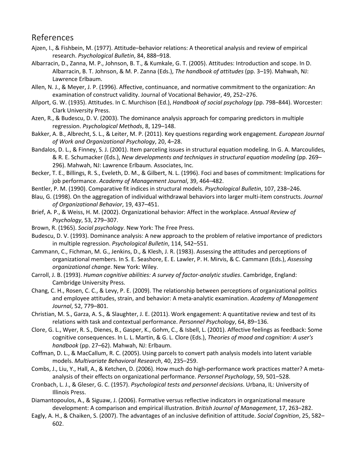#### References

- Ajzen, I., & Fishbein, M. (1977). Attitude–behavior relations: A theoretical analysis and review of empirical research. *Psychological Bulletin*, 84, 888–918.
- Albarracin, D., Zanna, M. P., Johnson, B. T., & Kumkale, G. T. (2005). Attitudes: Introduction and scope. In D. Albarracin, B. T. Johnson, & M. P. Zanna (Eds.), *The handbook of attitudes* (pp. 3–19). Mahwah, NJ: Lawrence Erlbaum.
- Allen, N. J., & Meyer, J. P. (1996). Affective, continuance, and normative commitment to the organization: An examination of construct validity. Journal of Vocational Behavior, 49, 252–276.
- Allport, G. W. (1935). Attitudes. In C. Murchison (Ed.), *Handbook of social psychology* (pp. 798–844). Worcester: Clark University Press.
- Azen, R., & Budescu, D. V. (2003). The dominance analysis approach for comparing predictors in multiple regression. *Psychological Methods*, 8, 129–148.
- Bakker, A. B., Albrecht, S. L., & Leiter, M. P. (2011). Key questions regarding work engagement. *European Journal of Work and Organizational Psychology*, 20, 4–28.
- Bandalos, D. L., & Finney, S. J. (2001). Item parceling issues in structural equation modeling. In G. A. Marcoulides, & R. E. Schumacker (Eds.), *New developments and techniques in structural equation modeling* (pp. 269– 296). Mahwah, NJ: Lawrence Erlbaum. Associates, Inc.
- Becker, T. E., Billings, R. S., Eveleth, D. M., & Gilbert, N. L. (1996). Foci and bases of commitment: Implications for job performance. *Academy of Management Journal*, 39, 464–482.
- Bentler, P. M. (1990). Comparative fit indices in structural models. *Psychological Bulletin*, 107, 238–246.
- Blau, G. (1998). On the aggregation of individual withdrawal behaviors into larger multi-item constructs. *Journal of Organizational Behavior*, 19, 437–451.
- Brief, A. P., & Weiss, H. M. (2002). Organizational behavior: Affect in the workplace. *Annual Review of Psychology*, 53, 279–307.
- Brown, R. (1965). *Social psychology*. New York: The Free Press.
- Budescu, D. V. (1993). Dominance analysis: A new approach to the problem of relative importance of predictors in multiple regression. *Psychological Bulletin*, 114, 542–551.
- Cammann, C., Fichman, M. G., Jenkins, D., & Klesh, J. R. (1983). Assessing the attitudes and perceptions of organizational members. In S. E. Seashore, E. E. Lawler, P. H. Mirvis, & C. Cammann (Eds.), *Assessing organizational change*. New York: Wiley.
- Carroll, J. B. (1993). *Human cognitive abilities: A survey of factor-analytic studies*. Cambridge, England: Cambridge University Press.
- Chang, C. H., Rosen, C. C., & Levy, P. E. (2009). The relationship between perceptions of organizational politics and employee attitudes, strain, and behavior: A meta-analytic examination. *Academy of Management Journal*, 52, 779–801.
- Christian, M. S., Garza, A. S., & Slaughter, J. E. (2011). Work engagement: A quantitative review and test of its relations with task and contextual performance. *Personnel Psychology*, 64, 89–136.
- Clore, G. L., Wyer, R. S., Dienes, B., Gasper, K., Gohm, C., & Isbell, L. (2001). Affective feelings as feedback: Some cognitive consequences. In L. L. Martin, & G. L. Clore (Eds.), *Theories of mood and cognition: A user's handbook* (pp. 27–62). Mahwah, NJ: Erlbaum.
- Coffman, D. L., & MacCallum, R. C. (2005). Using parcels to convert path analysis models into latent variable models. *Multivariate Behavioral Research*, 40, 235–259.
- Combs, J., Liu, Y., Hall, A., & Ketchen, D. (2006). How much do high-performance work practices matter? A metaanalysis of their effects on organizational performance. *Personnel Psychology*, 59, 501–528.
- Cronbach, L. J., & Gleser, G. C. (1957). *Psychological tests and personnel decisions*. Urbana, IL: University of Illinois Press.
- Diamantopoulos, A., & Siguaw, J. (2006). Formative versus reflective indicators in organizational measure development: A comparison and empirical illustration. *British Journal of Management*, 17, 263–282.
- Eagly, A. H., & Chaiken, S. (2007). The advantages of an inclusive definition of attitude. *Social Cognition*, 25, 582– 602.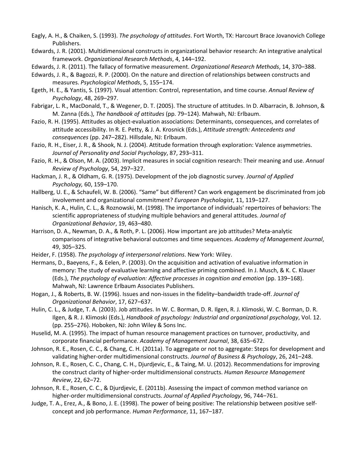- Eagly, A. H., & Chaiken, S. (1993). *The psychology of attitudes*. Fort Worth, TX: Harcourt Brace Jovanovich College Publishers.
- Edwards, J. R. (2001). Multidimensional constructs in organizational behavior research: An integrative analytical framework. *Organizational Research Methods*, 4, 144–192.
- Edwards, J. R. (2011). The fallacy of formative measurement. *Organizational Research Methods*, 14, 370–388.
- Edwards, J. R., & Bagozzi, R. P. (2000). On the nature and direction of relationships between constructs and measures. *Psychological Methods*, 5, 155–174.
- Egeth, H. E., & Yantis, S. (1997). Visual attention: Control, representation, and time course. *Annual Review of Psychology*, 48, 269–297.
- Fabrigar, L. R., MacDonald, T., & Wegener, D. T. (2005). The structure of attitudes. In D. Albarracin, B. Johnson, & M. Zanna (Eds.), *The handbook of attitudes* (pp. 79–124). Mahwah, NJ: Erlbaum.
- Fazio, R. H. (1995). Attitudes as object-evaluation associations: Determinants, consequences, and correlates of attitude accessibility. In R. E. Petty, & J. A. Krosnick (Eds.), *Attitude strength: Antecedents and consequences* (pp. 247–282). Hillsdale, NJ: Erlbaum.
- Fazio, R. H., Eiser, J. R., & Shook, N. J. (2004). Attitude formation through exploration: Valence asymmetries. *Journal of Personality and Social Psychology*, 87, 293–311.
- Fazio, R. H., & Olson, M. A. (2003). Implicit measures in social cognition research: Their meaning and use. *Annual Review of Psychology*, 54, 297–327.
- Hackman, J. R., & Oldham, G. R. (1975). Development of the job diagnostic survey. *Journal of Applied Psychology,* 60, 159–170.
- Hallberg, U. E., & Schaufeli, W. B. (2006). "Same" but different? Can work engagement be discriminated from job involvement and organizational commitment? *European Psychologist*, 11, 119–127.
- Hanisch, K. A., Hulin, C. L., & Roznowski, M. (1998). The importance of individuals' repertoires of behaviors: The scientific appropriateness of studying multiple behaviors and general attitudes. *Journal of Organizational Behavior*, 19, 463–480.
- Harrison, D. A., Newman, D. A., & Roth, P. L. (2006). How important are job attitudes? Meta-analytic comparisons of integrative behavioral outcomes and time sequences. *Academy of Management Journal*, 49, 305–325.
- Heider, F. (1958). *The psychology of interpersonal relations*. New York: Wiley.
- Hermans, D., Baeyens, F., & Eelen, P. (2003). On the acquisition and activation of evaluative information in memory: The study of evaluative learning and affective priming combined. In J. Musch, & K. C. Klauer (Eds.), *The psychology of evaluation: Affective processes in cognition and emotion* (pp. 139–168). Mahwah, NJ: Lawrence Erlbaum Associates Publishers.
- Hogan, J., & Roberts, B. W. (1996). Issues and non-issues in the fidelity–bandwidth trade-off. *Journal of Organizational Behavior*, 17, 627–637.
- Hulin, C. L., & Judge, T. A. (2003). Job attitudes. In W. C. Borman, D. R. Ilgen, R. J. Klimoski, W. C. Borman, D. R. Ilgen, & R. J. Klimoski (Eds.), *Handbook of psychology: Industrial and organizational psychology*, Vol. 12. (pp. 255–276). Hoboken, NJ: John Wiley & Sons Inc.
- Huselid, M. A. (1995). The impact of human resource management practices on turnover, productivity, and corporate financial performance. *Academy of Management Journal*, 38, 635–672.
- Johnson, R. E., Rosen, C. C., & Chang, C. H. (2011a). To aggregate or not to aggregate: Steps for development and validating higher-order multidimensional constructs. *Journal of Business & Psychology*, 26, 241–248.
- Johnson, R. E., Rosen, C. C., Chang, C. H., Djurdjevic, E., & Taing, M. U. (2012). Recommendations for improving the construct clarity of higher-order multidimensional constructs. *Human Resource Management Review*, 22, 62–72.
- Johnson, R. E., Rosen, C. C., & Djurdjevic, E. (2011b). Assessing the impact of common method variance on higher-order multidimensional constructs. *Journal of Applied Psychology*, 96, 744–761.
- Judge, T. A., Erez, A., & Bono, J. E. (1998). The power of being positive: The relationship between positive selfconcept and job performance. *Human Performance*, 11, 167–187.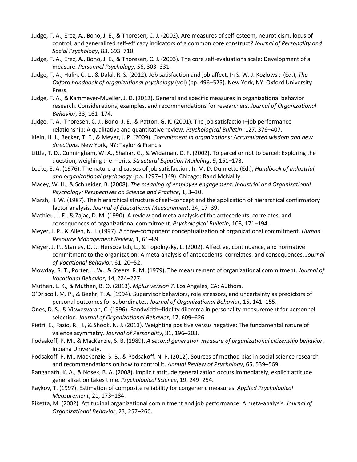- Judge, T. A., Erez, A., Bono, J. E., & Thoresen, C. J. (2002). Are measures of self-esteem, neuroticism, locus of control, and generalized self-efficacy indicators of a common core construct? *Journal of Personality and Social Psychology*, 83, 693–710.
- Judge, T. A., Erez, A., Bono, J. E., & Thoresen, C. J. (2003). The core self-evaluations scale: Development of a measure. *Personnel Psychology*, 56, 303–331.
- Judge, T. A., Hulin, C. L., & Dalal, R. S. (2012). Job satisfaction and job affect. In S. W. J. Kozlowski (Ed.), *The Oxford handbook of organizational psychology* (vol) (pp. 496–525). New York, NY: Oxford University Press.
- Judge, T. A., & Kammeyer-Mueller, J. D. (2012). General and specific measures in organizational behavior research. Considerations, examples, and recommendations for researchers. *Journal of Organizational Behavior*, 33, 161–174.
- Judge, T. A., Thoresen, C. J., Bono, J. E., & Patton, G. K. (2001). The job satisfaction–job performance relationship: A qualitative and quantitative review. *Psychological Bulletin*, 127, 376–407.
- Klein, H. J., Becker, T. E., & Meyer, J. P. (2009). *Commitment in organizations: Accumulated wisdom and new directions*. New York, NY: Taylor & Francis.
- Little, T. D., Cunningham, W. A., Shahar, G., & Widaman, D. F. (2002). To parcel or not to parcel: Exploring the question, weighing the merits. *Structural Equation Modeling*, 9, 151–173.
- Locke, E. A. (1976). The nature and causes of job satisfaction. In M. D. Dunnette (Ed.), *Handbook of industrial and organizational psychology* (pp. 1297–1349). Chicago: Rand McNallly.
- Macey, W. H., & Schneider, B. (2008). *The meaning of employee engagement. Industrial and Organizational Psychology: Perspectives on Science and Practice*, 1, 3–30.
- Marsh, H. W. (1987). The hierarchical structure of self-concept and the application of hierarchical confirmatory factor analysis. *Journal of Educational Measurement*, 24, 17–39.
- Mathieu, J. E., & Zajac, D. M. (1990). A review and meta-analysis of the antecedents, correlates, and consequences of organizational commitment. *Psychological Bulletin*, 108, 171–194.
- Meyer, J. P., & Allen, N. J. (1997). A three-component conceptualization of organizational commitment. *Human Resource Management Review*, 1, 61–89.
- Meyer, J. P., Stanley, D. J., Herscovitch, L., & Topolnysky, L. (2002). Affective, continuance, and normative commitment to the organization: A meta-analysis of antecedents, correlates, and consequences. *Journal of Vocational Behavior*, 61, 20–52.
- Mowday, R. T., Porter, L. W., & Steers, R. M. (1979). The measurement of organizational commitment. *Journal of Vocational Behavior*, 14, 224–227.
- Muthen, L. K., & Muthen, B. O. (2013). *Mplus version 7*. Los Angeles, CA: Authors.
- O'Driscoll, M. P., & Beehr, T. A. (1994). Supervisor behaviors, role stressors, and uncertainty as predictors of personal outcomes for subordinates. *Journal of Organizational Behavior*, 15, 141–155.
- Ones, D. S., & Viswesvaran, C. (1996). Bandwidth–fidelity dilemma in personality measurement for personnel selection. *Journal of Organizational Behavior*, 17, 609–626.
- Pietri, E., Fazio, R. H., & Shook, N. J. (2013). Weighting positive versus negative: The fundamental nature of valence asymmetry. *Journal of Personality*, 81, 196–208.
- Podsakoff, P. M., & MacKenzie, S. B. (1989). *A second generation measure of organizational citizenship behavior*. Indiana University.
- Podsakoff, P. M., MacKenzie, S. B., & Podsakoff, N. P. (2012). Sources of method bias in social science research and recommendations on how to control it. *Annual Review of Psychology*, 65, 539–569.
- Ranganath, K. A., & Nosek, B. A. (2008). Implicit attitude generalization occurs immediately, explicit attitude generalization takes time. *Psychological Science*, 19, 249–254.
- Raykov, T. (1997). Estimation of composite reliability for congeneric measures. *Applied Psychological Measurement*, 21, 173–184.
- Riketta, M. (2002). Attitudinal organizational commitment and job performance: A meta-analysis. *Journal of Organizational Behavior*, 23, 257–266.